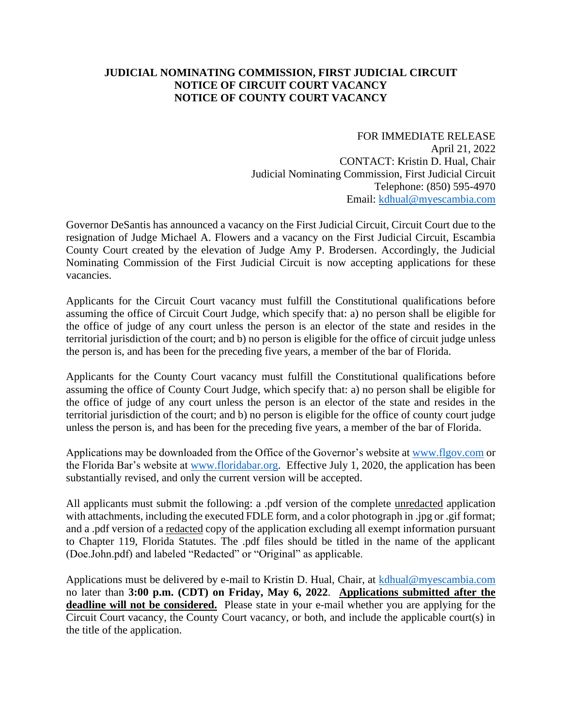## **JUDICIAL NOMINATING COMMISSION, FIRST JUDICIAL CIRCUIT NOTICE OF CIRCUIT COURT VACANCY NOTICE OF COUNTY COURT VACANCY**

FOR IMMEDIATE RELEASE April 21, 2022 CONTACT: Kristin D. Hual, Chair Judicial Nominating Commission, First Judicial Circuit Telephone: (850) 595-4970 Email: [kdhual@myescambia.com](mailto:kdhual@myescambia.com)

Governor DeSantis has announced a vacancy on the First Judicial Circuit, Circuit Court due to the resignation of Judge Michael A. Flowers and a vacancy on the First Judicial Circuit, Escambia County Court created by the elevation of Judge Amy P. Brodersen. Accordingly, the Judicial Nominating Commission of the First Judicial Circuit is now accepting applications for these vacancies.

Applicants for the Circuit Court vacancy must fulfill the Constitutional qualifications before assuming the office of Circuit Court Judge, which specify that: a) no person shall be eligible for the office of judge of any court unless the person is an elector of the state and resides in the territorial jurisdiction of the court; and b) no person is eligible for the office of circuit judge unless the person is, and has been for the preceding five years, a member of the bar of Florida.

Applicants for the County Court vacancy must fulfill the Constitutional qualifications before assuming the office of County Court Judge, which specify that: a) no person shall be eligible for the office of judge of any court unless the person is an elector of the state and resides in the territorial jurisdiction of the court; and b) no person is eligible for the office of county court judge unless the person is, and has been for the preceding five years, a member of the bar of Florida.

Applications may be downloaded from the Office of the Governor's website at [www.flgov.com](http://www.flgov.com/) or the Florida Bar's website at [www.floridabar.org.](http://www.floridabar.org/) Effective July 1, 2020, the application has been substantially revised, and only the current version will be accepted.

All applicants must submit the following: a .pdf version of the complete unredacted application with attachments, including the executed FDLE form, and a color photograph in .jpg or .gif format; and a .pdf version of a redacted copy of the application excluding all exempt information pursuant to Chapter 119, Florida Statutes. The .pdf files should be titled in the name of the applicant (Doe.John.pdf) and labeled "Redacted" or "Original" as applicable.

Applications must be delivered by e-mail to Kristin D. Hual, Chair, at [kdhual@myescambia.com](mailto:kdhual@myescambia.com/) no later than **3:00 p.m. (CDT) on Friday, May 6, 2022**. **Applications submitted after the deadline will not be considered.** Please state in your e-mail whether you are applying for the Circuit Court vacancy, the County Court vacancy, or both, and include the applicable court(s) in the title of the application.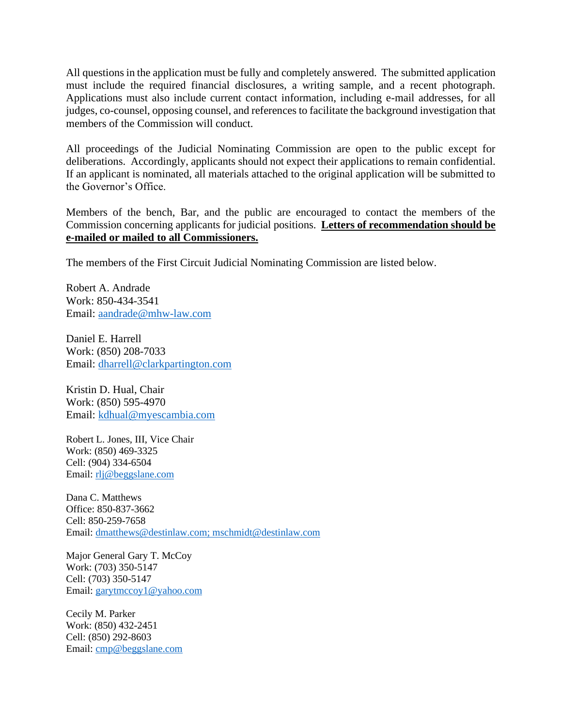All questions in the application must be fully and completely answered. The submitted application must include the required financial disclosures, a writing sample, and a recent photograph. Applications must also include current contact information, including e-mail addresses, for all judges, co-counsel, opposing counsel, and references to facilitate the background investigation that members of the Commission will conduct.

All proceedings of the Judicial Nominating Commission are open to the public except for deliberations. Accordingly, applicants should not expect their applications to remain confidential. If an applicant is nominated, all materials attached to the original application will be submitted to the Governor's Office.

Members of the bench, Bar, and the public are encouraged to contact the members of the Commission concerning applicants for judicial positions. **Letters of recommendation should be e-mailed or mailed to all Commissioners.**

The members of the First Circuit Judicial Nominating Commission are listed below.

Robert A. Andrade Work: 850-434-3541 Email: [aandrade@mhw-law.com](mailto:aandrade@mhw-law.com)

Daniel E. Harrell Work: (850) 208-7033 Email: [dharrell@clarkpartington.com](mailto:dharrell@clarkpartington.com)

Kristin D. Hual, Chair Work: (850) 595-4970 Email: [kdhual@myescambia.com](mailto:kdhual@myescambia.com)

Robert L. Jones, III, Vice Chair Work: (850) 469-3325 Cell: (904) 334-6504 Email: [rlj@beggslane.com](mailto:rlj@beggslane.com)

Dana C. Matthews Office: 850-837-3662 Cell: 850-259-7658 Email: [dmatthews@destinlaw.com;](mailto:dmatthews@destinlaw.com) mschmidt@destinlaw.com

Major General Gary T. McCoy Work: (703) 350-5147 Cell: (703) 350-5147 Email: [garytmccoy1@yahoo.com](mailto:garytmccoy1@yahoo.com)

Cecily M. Parker Work: (850) 432-2451 Cell: (850) 292-8603 Email: [cmp@beggslane.com](mailto:cmp@beggslane.com)